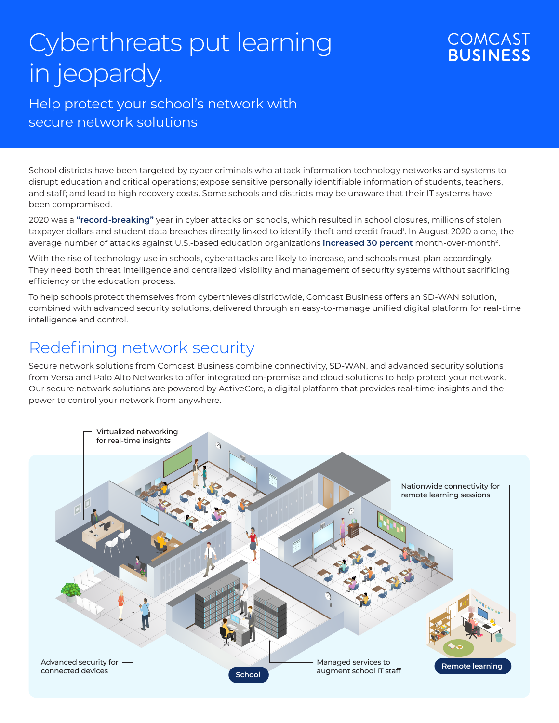# Cyberthreats put learning in jeopardy.

### **COMCAST BUSINESS**

#### Help protect your school's network with secure network solutions

School districts have been targeted by cyber criminals who attack information technology networks and systems to disrupt education and critical operations; expose sensitive personally identifiable information of students, teachers, and staff; and lead to high recovery costs. Some schools and districts may be unaware that their IT systems have been compromised.

2020 was a **"record-breaking"** year in cyber attacks on schools, which resulted in school closures, millions of stolen taxpayer dollars and student data breaches directly linked to identify theft and credit fraud<sup>1</sup>. In August 2020 alone, the average number of attacks against U.S.-based education organizations **increased 30 percent** month-over-month2.

With the rise of technology use in schools, cyberattacks are likely to increase, and schools must plan accordingly. They need both threat intelligence and centralized visibility and management of security systems without sacrificing efficiency or the education process.

To help schools protect themselves from cyberthieves districtwide, Comcast Business offers an SD-WAN solution, combined with advanced security solutions, delivered through an easy-to-manage unified digital platform for real-time intelligence and control.

## Redefining network security

Secure network solutions from Comcast Business combine connectivity, SD-WAN, and advanced security solutions from Versa and Palo Alto Networks to offer integrated on-premise and cloud solutions to help protect your network. Our secure network solutions are powered by ActiveCore, a digital platform that provides real-time insights and the power to control your network from anywhere.